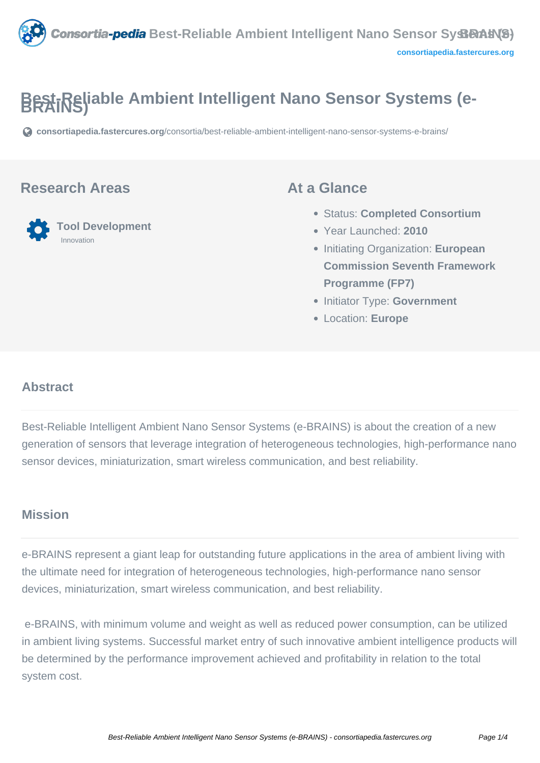

# **Best-Reliable Ambient Intelligent Nano Sensor Systems (e-**

**[consortiapedia.fastercures.org](https://consortiapedia.fastercures.org/consortia/best-reliable-ambient-intelligent-nano-sensor-systems-e-brains/)**[/consortia/best-reliable-ambient-intelligent-nano-sensor-systems-e-brains/](https://consortiapedia.fastercures.org/consortia/best-reliable-ambient-intelligent-nano-sensor-systems-e-brains/)

#### **Research Areas**



#### **At a Glance**

- Status: **Completed Consortium**
- Year Launched: **2010**
- Initiating Organization: **European Commission Seventh Framework Programme (FP7)**
- **Initiator Type: Government**
- Location: **Europe**

#### $\overline{a}$ **Abstract**

Best-Reliable Intelligent Ambient Nano Sensor Systems (e-BRAINS) is about the creation of a new generation of sensors that leverage integration of heterogeneous technologies, high-performance nano sensor devices, miniaturization, smart wireless communication, and best reliability.

#### **Mission**

e-BRAINS represent a giant leap for outstanding future applications in the area of ambient living with the ultimate need for integration of heterogeneous technologies, high-performance nano sensor devices, miniaturization, smart wireless communication, and best reliability.

 e-BRAINS, with minimum volume and weight as well as reduced power consumption, can be utilized in ambient living systems. Successful market entry of such innovative ambient intelligence products will be determined by the performance improvement achieved and profitability in relation to the total system cost.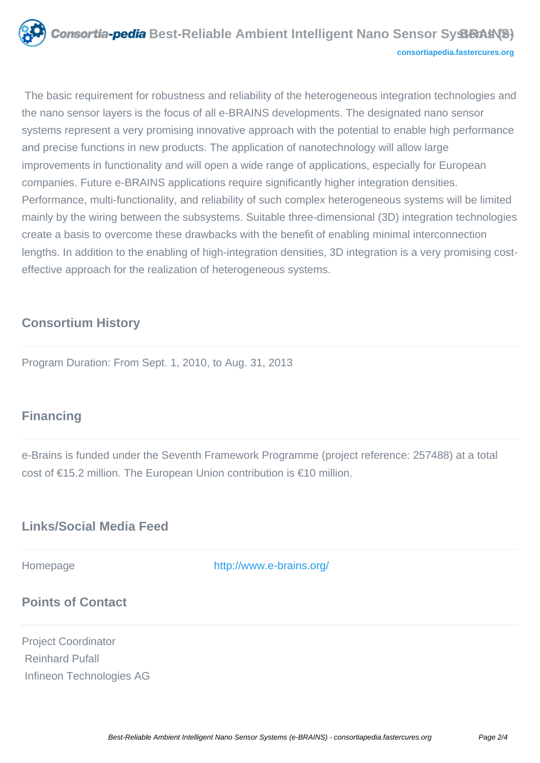

 The basic requirement for robustness and reliability of the heterogeneous integration technologies and the nano sensor layers is the focus of all e-BRAINS developments. The designated nano sensor systems represent a very promising innovative approach with the potential to enable high performance and precise functions in new products. The application of nanotechnology will allow large improvements in functionality and will open a wide range of applications, especially for European companies. Future e-BRAINS applications require significantly higher integration densities. Performance, multi-functionality, and reliability of such complex heterogeneous systems will be limited mainly by the wiring between the subsystems. Suitable three-dimensional (3D) integration technologies create a basis to overcome these drawbacks with the benefit of enabling minimal interconnection lengths. In addition to the enabling of high-integration densities, 3D integration is a very promising costeffective approach for the realization of heterogeneous systems.

#### **Consortium History**

Program Duration: From Sept. 1, 2010, to Aug. 31, 2013

### **Financing**

e-Brains is funded under the Seventh Framework Programme (project reference: 257488) at a total cost of €15.2 million. The European Union contribution is €10 million.

## **Links/Social Media Feed**

Homepage <http://www.e-brains.org/>

### **Points of Contact**

Project Coordinator Reinhard Pufall Infineon Technologies AG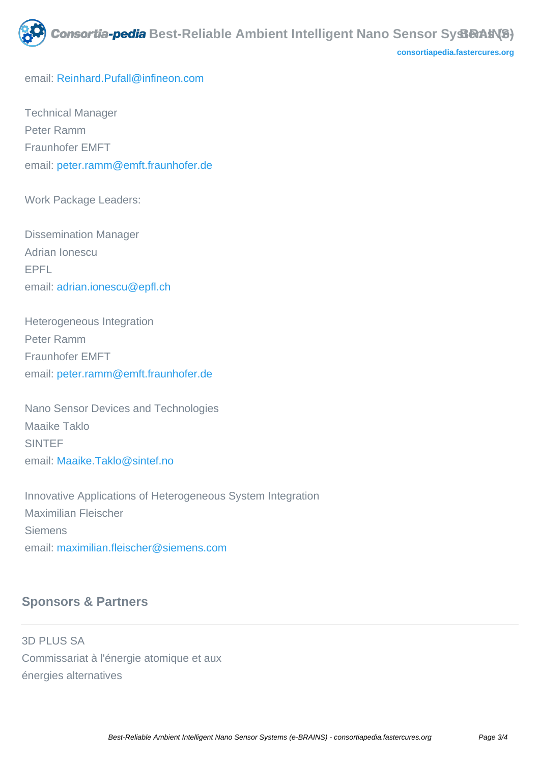

**[consortiapedia.fastercures.org](http://consortiapedia.fastercures.org/)**

email: [Reinhard.Pufall@infineon.com](mailto:Reinhard.Pufall@infineon.com)

 Technical Manager Peter Ramm Fraunhofer EMFT email: [peter.ramm@emft.fraunhofer.de](mailto:peter.ramm@emft.fraunhofer.de)

Work Package Leaders:

 Dissemination Manager Adrian Ionescu EPFL email: [adrian.ionescu@epfl.ch](mailto:adrian.ionescu@epfl.ch)

 Heterogeneous Integration Peter Ramm Fraunhofer EMFT email: [peter.ramm@emft.fraunhofer.de](mailto:peter.ramm@emft.fraunhofer.de)

 Nano Sensor Devices and Technologies Maaike Taklo **SINTEF** email: [Maaike.Taklo@sintef.no](mailto:Maaike.Taklo@sintef.no)

 Innovative Applications of Heterogeneous System Integration Maximilian Fleischer Siemens email[: maximilian.fleischer@siemens.com](mailto:maximilian.fleischer@siemens.com)

#### **Sponsors & Partners**

3D PLUS SA Commissariat à l'énergie atomique et aux énergies alternatives